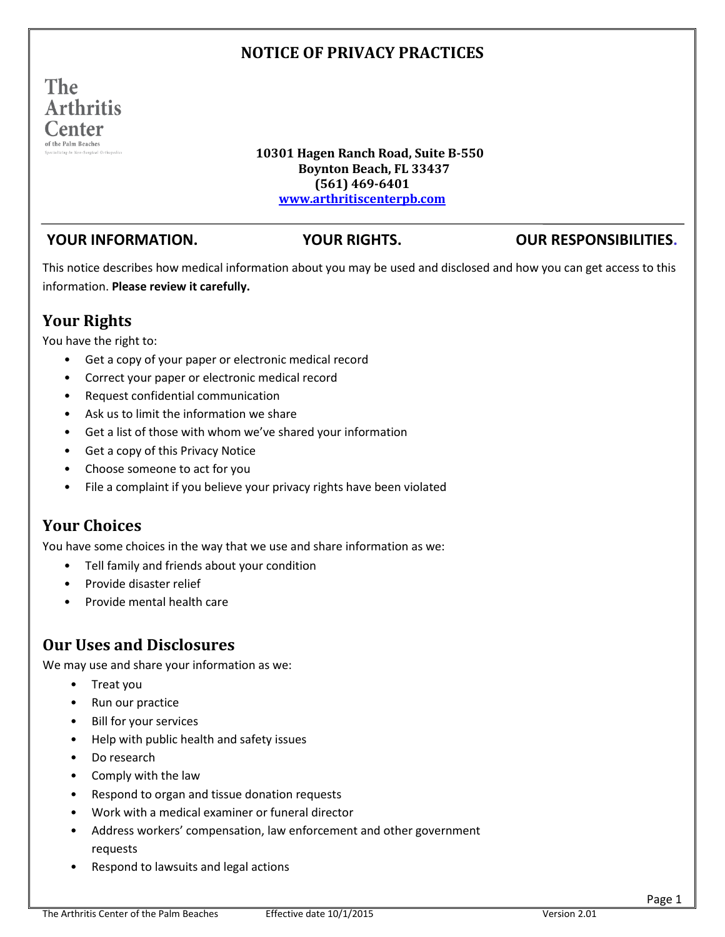# **NOTICE OF PRIVACY PRACTICES**



**10301 Hagen Ranch Road, Suite B-550 Boynton Beach, FL 33437 (561) 469-6401 [www.arthritiscenterpb.com](http://www.arthritiscenterpb.com/)**

# **YOUR INFORMATION. YOUR RIGHTS. OUR RESPONSIBILITIES.**

This notice describes how medical information about you may be used and disclosed and how you can get access to this information. **Please review it carefully.**

# **Your Rights**

You have the right to:

- Get a copy of your paper or electronic medical record
- Correct your paper or electronic medical record
- Request confidential communication
- Ask us to limit the information we share
- Get a list of those with whom we've shared your information
- Get a copy of this Privacy Notice
- Choose someone to act for you
- File a complaint if you believe your privacy rights have been violated

# **Your Choices**

You have some choices in the way that we use and share information as we:

- Tell family and friends about your condition
- Provide disaster relief
- Provide mental health care

# **Our Uses and Disclosures**

We may use and share your information as we:

- Treat you
- Run our practice
- Bill for your services
- Help with public health and safety issues
- Do research
- Comply with the law
- Respond to organ and tissue donation requests
- Work with a medical examiner or funeral director
- Address workers' compensation, law enforcement and other government requests
- Respond to lawsuits and legal actions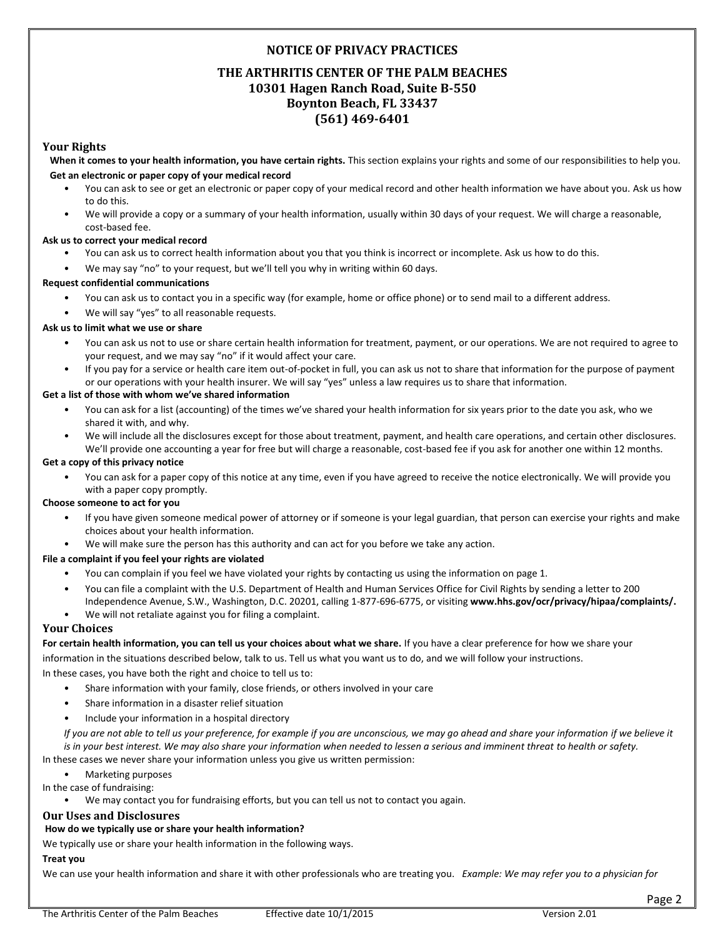# **NOTICE OF PRIVACY PRACTICES**

# **THE ARTHRITIS CENTER OF THE PALM BEACHES 10301 Hagen Ranch Road, Suite B-550 Boynton Beach, FL 33437 (561) 469-6401**

# **Your Rights**

 **When it comes to your health information, you have certain rights.** This section explains your rights and some of our responsibilities to help you.  **Get an electronic or paper copy of your medical record** 

- You can ask to see or get an electronic or paper copy of your medical record and other health information we have about you. Ask us how to do this.
- We will provide a copy or a summary of your health information, usually within 30 days of your request. We will charge a reasonable, cost-based fee.

### **Ask us to correct your medical record**

- You can ask us to correct health information about you that you think is incorrect or incomplete. Ask us how to do this.
- We may say "no" to your request, but we'll tell you why in writing within 60 days.

### **Request confidential communications**

- You can ask us to contact you in a specific way (for example, home or office phone) or to send mail to a different address.
- We will say "yes" to all reasonable requests.

### **Ask us to limit what we use or share**

- You can ask us not to use or share certain health information for treatment, payment, or our operations. We are not required to agree to your request, and we may say "no" if it would affect your care.
- If you pay for a service or health care item out-of-pocket in full, you can ask us not to share that information for the purpose of payment or our operations with your health insurer. We will say "yes" unless a law requires us to share that information.

### **Get a list of those with whom we've shared information**

- You can ask for a list (accounting) of the times we've shared your health information for six years prior to the date you ask, who we shared it with, and why.
- We will include all the disclosures except for those about treatment, payment, and health care operations, and certain other disclosures. We'll provide one accounting a year for free but will charge a reasonable, cost-based fee if you ask for another one within 12 months.

### **Get a copy of this privacy notice**

• You can ask for a paper copy of this notice at any time, even if you have agreed to receive the notice electronically. We will provide you with a paper copy promptly.

#### **Choose someone to act for you**

- If you have given someone medical power of attorney or if someone is your legal guardian, that person can exercise your rights and make choices about your health information.
- We will make sure the person has this authority and can act for you before we take any action.

#### **File a complaint if you feel your rights are violated**

- You can complain if you feel we have violated your rights by contacting us using the information on page 1.
- You can file a complaint with the U.S. Department of Health and Human Services Office for Civil Rights by sending a letter to 200 Independence Avenue, S.W., Washington, D.C. 20201, calling 1-877-696-6775, or visiting **www.hhs.gov/ocr/privacy/hipaa/complaints/.**
- We will not retaliate against you for filing a complaint.

# **Your Choices**

**For certain health information, you can tell us your choices about what we share.** If you have a clear preference for how we share your

information in the situations described below, talk to us. Tell us what you want us to do, and we will follow your instructions.

In these cases, you have both the right and choice to tell us to:

- Share information with your family, close friends, or others involved in your care
- Share information in a disaster relief situation
- Include your information in a hospital directory

*If you are not able to tell us your preference, for example if you are unconscious, we may go ahead and share your information if we believe it is in your best interest. We may also share your information when needed to lessen a serious and imminent threat to health or safety.*

In these cases we never share your information unless you give us written permission:

• Marketing purposes

In the case of fundraising:

• We may contact you for fundraising efforts, but you can tell us not to contact you again.

# **Our Uses and Disclosures**

#### **How do we typically use or share your health information?**

We typically use or share your health information in the following ways.

#### **Treat you**

We can use your health information and share it with other professionals who are treating you. *Example: We may refer you to a physician for*